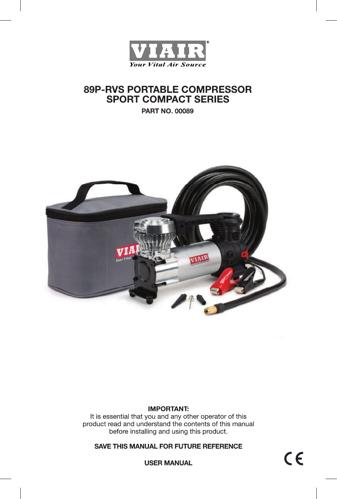

# **89P-RVS PORTABLE COMPRESSOR SPORT COMPACT SERIES**

**PART NO. 00089** 



## **IMPORTANT:**

It is essential that you and any other operator of this product read and understand the contents of this manual before installing and using this product.

### SAVE THIS MANUAL FOR FUTURE REFERENCE

 $C \in$ 

**USER MANUAL**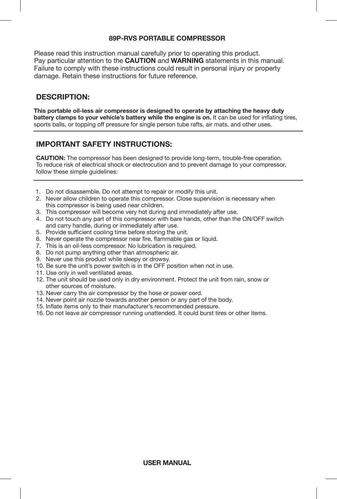### **89P-RVS PORTABLE COMPRESSOR**

Please read this instruction manual carefully prior to operating this product. Pay particular attention to the **CAUTION** and **WARNING** statements in this manual. Failure to comply with these instructions could result in personal injury or property damage. Retain these instructions for future reference.

# **DESCRIPTION:**

**This portable oil-less air compressor is designed to operate by attaching the heavy duty battery clamps to your vehicle's battery while the engine is on.** It can be used for inflating tires, sports balls, or topping off pressure for single person tube rafts, air mats, and other uses.

# **IMPORTANT SAFETY INSTRUCTIONS:**

**CAUTION:** The compressor has been designed to provide long-term, trouble-free operation. To reduce risk of electrical shock or electrocution and to prevent damage to your compressor, follow these simple quidelines:

- 1. Do not disassemble. Do not attempt to repair or modify this unit.
- 2. Never allow children to operate this compressor. Close supervision is necessary when this compressor is being used near children.
- 3. This compressor will become very hot during and immediately after use.
- 4. Do not touch any part of this compressor with bare hands, other than the ON/OFF switch and carry handle, during or immediately after use.
- 5. Provide sufficient cooling time before storing the unit.
- 6. Never operate the compressor near fire, flammable gas or liquid.
- 7. This is an oil-less compressor. No lubrication is required.
- 8. Do not pump anything other than atmospheric air.
- 9. Never use this product while sleepy or drowsy.
- 10. Be sure the unit's power switch is in the OFF position when not in use.
- 11. Use only in well ventilated areas.
- 12. The unit should be used only in dry environment. Protect the unit from rain, snow or other sources of moisture.
- 13. Never carry the air compressor by the hose or power cord.
- 14. Never point air nozzle towards another person or any part of the body.
- 15. Inflate items only to their manufacturer's recommended pressure.
- 16. Do not leave air compressor running unattended. It could burst tires or other items.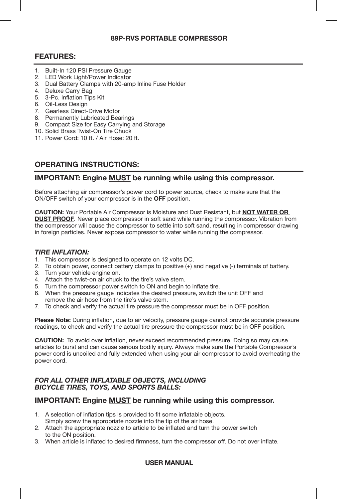### **89P-RVS PORTABLE COMPRESSOR**

# **FEATURES:**

- 1. Built-In 120 PSI Pressure Gauge
- 2. LED Work Light/Power Indicator
- 3. Dual Battery Clamps with 20-amp Inline Fuse Holder
- 4. Deluxe Carry Bag
- 5. 3-Pc. Inflation Tips Kit
- 6. Oil-Less Design
- 7. Gearless Direct-Drive Motor
- 8. Permanently Lubricated Bearings
- 9. Compact Size for Easy Carrying and Storage
- 10. Solid Brass Twist-On Tire Chuck
- 11. Power Cord: 10 ft. / Air Hose: 20 ft.

# **OPERATING INSTRUCTIONS:**

### **IMPORTANT: Engine MUST be running while using this compressor.**

Before attaching air compressor's power cord to power source, check to make sure that the ON/OFF switch of your compressor is in the **OFF** position.

**CAUTION:** Your Portable Air Compressor is Moisture and Dust Resistant, but **NOT WATER OR DUST PROOF**. Never place compressor in soft sand while running the compressor. Vibration from the compressor will cause the compressor to settle into soft sand, resulting in compressor drawing in foreign particles. Never expose compressor to water while running the compressor.

#### *TIRE INFLATION:*

- 1. This compressor is designed to operate on 12 volts DC.
- 2. To obtain power, connect battery clamps to positive (+) and negative (-) terminals of battery.
- 3. Turn your vehicle engine on.
- 4. Attach the twist-on air chuck to the tire's valve stem.
- 5. Turn the compressor power switch to ON and begin to inflate tire.
- 6. When the pressure gauge indicates the desired pressure, switch the unit OFF and remove the air hose from the tire's valve stem.
- 7. To check and verify the actual tire pressure the compressor must be in OFF position.

**Please Note:** During inflation, due to air velocity, pressure gauge cannot provide accurate pressure readings, to check and verify the actual tire pressure the compressor must be in OFF position.

**CAUTION:** To avoid over inflation, never exceed recommended pressure. Doing so may cause articles to burst and can cause serious bodily injury. Always make sure the Portable Compressor's power cord is uncoiled and fully extended when using your air compressor to avoid overheating the power cord.

#### *FOR ALL OTHER INFLATABLE OBJECTS, INCLUDING BICYCLE TIRES, TOYS, AND SPORTS BALLS:*

### **IMPORTANT: Engine MUST be running while using this compressor.**

- 1. A selection of inflation tips is provided to fit some inflatable objects. Simply screw the appropriate nozzle into the tip of the air hose.
- 2. Attach the appropriate nozzle to article to be inflated and turn the power switch to the ON position.
- 3. When article is inflated to desired firmness, turn the compressor off. Do not over inflate.

### **USER MANUAL**